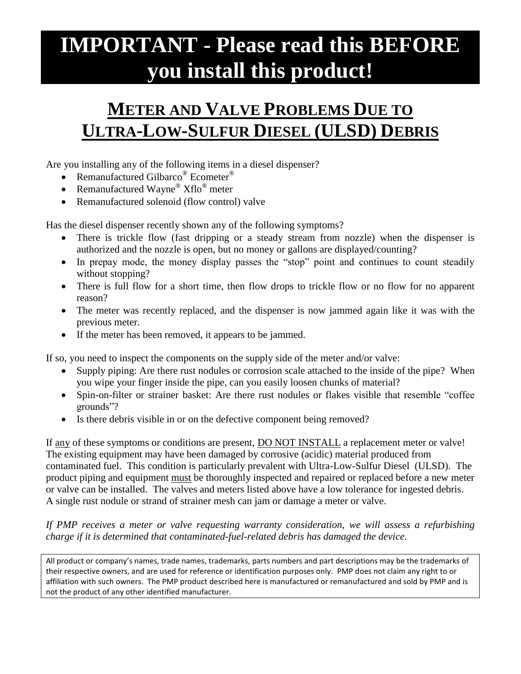## **IMPORTANT - Please read this BEFORE you install this product!**

## **METER AND VALVE PROBLEMS DUE TO ULTRA-LOW-SULFUR DIESEL (ULSD) DEBRIS**

Are you installing any of the following items in a diesel dispenser?

- Remanufactured Gilbarco<sup>®</sup> Ecometer<sup>®</sup>
- Remanufactured Wayne®  $Xflo^{\circledcirc}$  meter
- Remanufactured solenoid (flow control) valve

Has the diesel dispenser recently shown any of the following symptoms?

- There is trickle flow (fast dripping or a steady stream from nozzle) when the dispenser is authorized and the nozzle is open, but no money or gallons are displayed/counting?
- In prepay mode, the money display passes the "stop" point and continues to count steadily without stopping?
- There is full flow for a short time, then flow drops to trickle flow or no flow for no apparent reason?
- The meter was recently replaced, and the dispenser is now jammed again like it was with the previous meter.
- If the meter has been removed, it appears to be jammed.

If so, you need to inspect the components on the supply side of the meter and/or valve:

- Supply piping: Are there rust nodules or corrosion scale attached to the inside of the pipe? When you wipe your finger inside the pipe, can you easily loosen chunks of material?
- Spin-on-filter or strainer basket: Are there rust nodules or flakes visible that resemble "coffee grounds"?
- Is there debris visible in or on the defective component being removed?

If any of these symptoms or conditions are present, DO NOT INSTALL a replacement meter or valve! The existing equipment may have been damaged by corrosive (acidic) material produced from contaminated fuel. This condition is particularly prevalent with Ultra-Low-Sulfur Diesel (ULSD). The product piping and equipment must be thoroughly inspected and repaired or replaced before a new meter or valve can be installed. The valves and meters listed above have a low tolerance for ingested debris. A single rust nodule or strand of strainer mesh can jam or damage a meter or valve.

*If PMP receives a meter or valve requesting warranty consideration, we will assess a refurbishing charge if it is determined that contaminated-fuel-related debris has damaged the device.*

All product or company's names, trade names, trademarks, parts numbers and part descriptions may be the trademarks of their respective owners, and are used for reference or identification purposes only. PMP does not claim any right to or affiliation with such owners. The PMP product described here is manufactured or remanufactured and sold by PMP and is not the product of any other identified manufacturer.